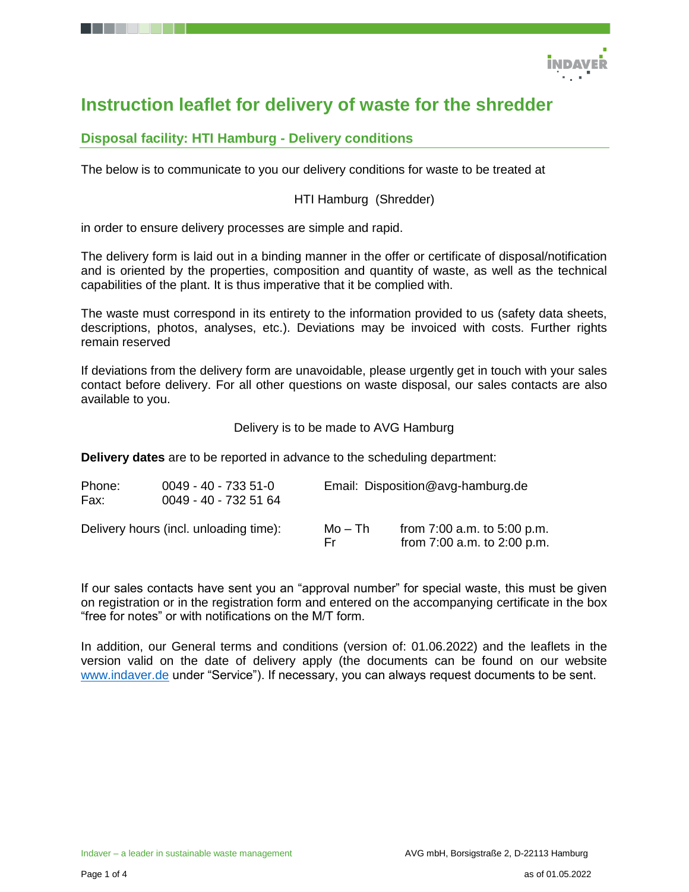

# **Instruction leaflet for delivery of waste for the shredder**

## **Disposal facility: HTI Hamburg - Delivery conditions**

The below is to communicate to you our delivery conditions for waste to be treated at

#### HTI Hamburg (Shredder)

in order to ensure delivery processes are simple and rapid.

The delivery form is laid out in a binding manner in the offer or certificate of disposal/notification and is oriented by the properties, composition and quantity of waste, as well as the technical capabilities of the plant. It is thus imperative that it be complied with.

The waste must correspond in its entirety to the information provided to us (safety data sheets, descriptions, photos, analyses, etc.). Deviations may be invoiced with costs. Further rights remain reserved

If deviations from the delivery form are unavoidable, please urgently get in touch with your sales contact before delivery. For all other questions on waste disposal, our sales contacts are also available to you.

Delivery is to be made to AVG Hamburg

**Delivery dates** are to be reported in advance to the scheduling department:

| Phone:<br>Fax: | $0049 - 40 - 7335 - 51 - 0$<br>0049 - 40 - 732 51 64 | Email: Disposition@avg-hamburg.de |                                                                |  |
|----------------|------------------------------------------------------|-----------------------------------|----------------------------------------------------------------|--|
|                | Delivery hours (incl. unloading time):               | Mo – Th<br>Fr.                    | from $7:00$ a.m. to $5:00$ p.m.<br>from 7:00 a.m. to 2:00 p.m. |  |

If our sales contacts have sent you an "approval number" for special waste, this must be given on registration or in the registration form and entered on the accompanying certificate in the box "free for notes" or with notifications on the M/T form.

In addition, our General terms and conditions (version of: 01.06.2022) and the leaflets in the version valid on the date of delivery apply (the documents can be found on our website [www.indaver.de](http://www.indaver.de/) under "Service"). If necessary, you can always request documents to be sent.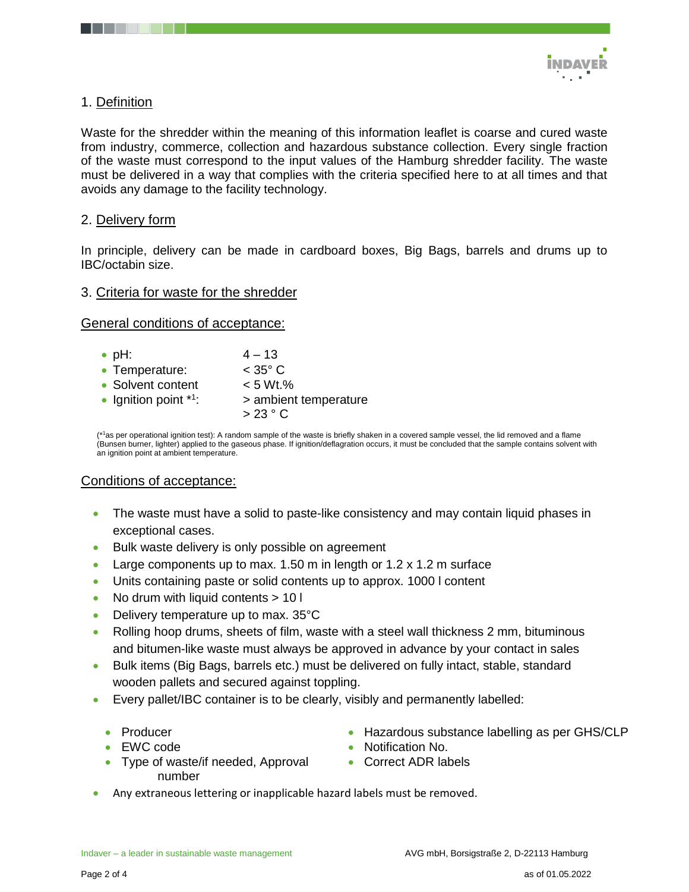

## 1. Definition

Waste for the shredder within the meaning of this information leaflet is coarse and cured waste from industry, commerce, collection and hazardous substance collection. Every single fraction of the waste must correspond to the input values of the Hamburg shredder facility. The waste must be delivered in a way that complies with the criteria specified here to at all times and that avoids any damage to the facility technology.

#### 2. Delivery form

In principle, delivery can be made in cardboard boxes, Big Bags, barrels and drums up to IBC/octabin size.

#### 3. Criteria for waste for the shredder

General conditions of acceptance:

| $\bullet$ pH:           | $4 - 13$                        |
|-------------------------|---------------------------------|
| • Temperature:          | $<$ 35 $^{\circ}$ C             |
| • Solvent content       | $< 5 Wt.$ %                     |
| • Ignition point $*1$ : | > ambient temperature<br>>23 °C |
|                         |                                 |

 $(*)$ as per operational ignition test): A random sample of the waste is briefly shaken in a covered sample vessel, the lid removed and a flame (Bunsen burner, lighter) applied to the gaseous phase. If ignition/deflagration occurs, it must be concluded that the sample contains solvent with an ignition point at ambient temperature.

#### Conditions of acceptance:

- The waste must have a solid to paste-like consistency and may contain liquid phases in exceptional cases.
- Bulk waste delivery is only possible on agreement
- Large components up to max. 1.50 m in length or 1.2 x 1.2 m surface
- Units containing paste or solid contents up to approx. 1000 l content
- No drum with liquid contents > 10 l
- Delivery temperature up to max. 35°C
- Rolling hoop drums, sheets of film, waste with a steel wall thickness 2 mm, bituminous and bitumen-like waste must always be approved in advance by your contact in sales
- Bulk items (Big Bags, barrels etc.) must be delivered on fully intact, stable, standard wooden pallets and secured against toppling.
- Every pallet/IBC container is to be clearly, visibly and permanently labelled:
	- Producer
	- EWC code
	- Type of waste/if needed, Approval number
- Hazardous substance labelling as per GHS/CLP
- Notification No.
- Correct ADR labels
- Any extraneous lettering or inapplicable hazard labels must be removed.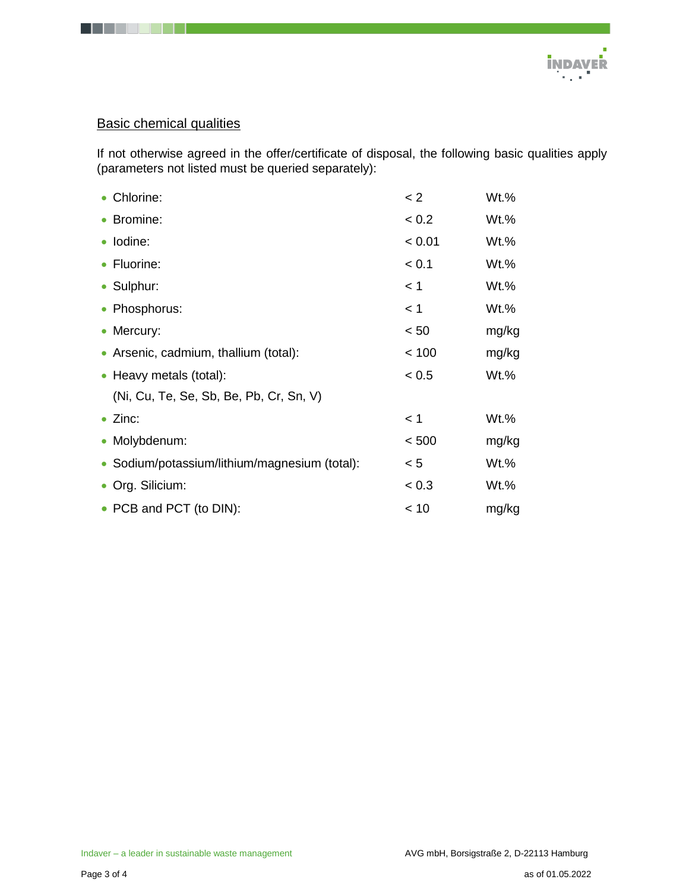

## Basic chemical qualities

. . . .

If not otherwise agreed in the offer/certificate of disposal, the following basic qualities apply (parameters not listed must be queried separately):

| • Chlorine:                                   | < 2    | Wt.%    |  |
|-----------------------------------------------|--------|---------|--|
| • Bromine:                                    | < 0.2  | $Wt.$ % |  |
| · Iodine:                                     | < 0.01 | Wt.%    |  |
| • Fluorine:                                   | < 0.1  | Wt.%    |  |
| • Sulphur:                                    | < 1    | Wt.%    |  |
| • Phosphorus:                                 | < 1    | Wt.%    |  |
| • Mercury:                                    | < 50   | mg/kg   |  |
| • Arsenic, cadmium, thallium (total):         | < 100  | mg/kg   |  |
| • Heavy metals (total):                       | < 0.5  | $Wt.$ % |  |
| (Ni, Cu, Te, Se, Sb, Be, Pb, Cr, Sn, V)       |        |         |  |
| $\bullet$ Zinc:                               | < 1    | $Wt.$ % |  |
| • Molybdenum:                                 | < 500  | mg/kg   |  |
| • Sodium/potassium/lithium/magnesium (total): | < 5    | Wt.%    |  |
| • Org. Silicium:                              | < 0.3  | Wt.%    |  |
| • PCB and PCT (to DIN):                       | < 10   | mg/kg   |  |